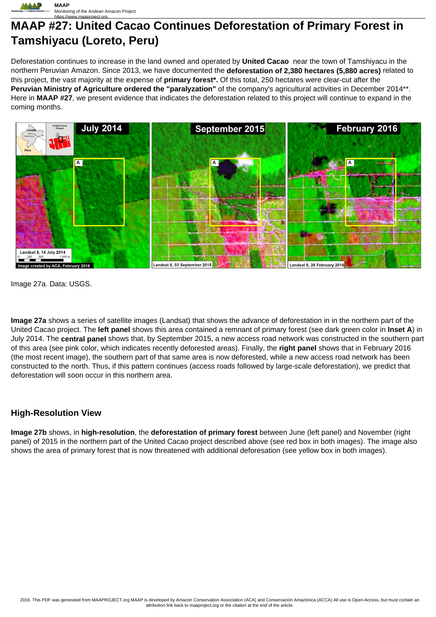

# **MAAP #27: United Cacao Continues Deforestation of Primary Forest in Tamshiyacu (Loreto, Peru)**

Deforestation continues to increase in the land owned and operated by **United Cacao** near the town of Tamshiyacu in the northern Peruvian Amazon. Since 2013, we have documented the **deforestation of 2,380 hectares (5,880 acres)** related to this project, the vast majority at the expense of **primary forest\*.** Of this total, 250 hectares were clear-cut after the **Peruvian Ministry of Agriculture ordered the "paralyzation"** of the company's agricultural activities in December 2014\*\*. Here in **MAAP #27**, we present evidence that indicates the deforestation related to this project will continue to expand in the coming months.



Image 27a. Data: USGS.

**Image 27a** shows a series of satellite images (Landsat) that shows the advance of deforestation in in the northern part of the United Cacao project. The **left panel** shows this area contained a remnant of primary forest (see dark green color in **Inset A**) in July 2014. The **central panel** shows that, by September 2015, a new access road network was constructed in the southern part of this area (see pink color, which indicates recently deforested areas). Finally, the **right panel** shows that in February 2016 (the most recent image), the southern part of that same area is now deforested, while a new access road network has been constructed to the north. Thus, if this pattern continues (access roads followed by large-scale deforestation), we predict that deforestation will soon occur in this northern area.

## **High-Resolution View**

**Image 27b** shows, in **high-resolution**, the **deforestation of primary forest** between June (left panel) and November (right panel) of 2015 in the northern part of the United Cacao project described above (see red box in both images). The image also shows the area of primary forest that is now threatened with additional deforesation (see yellow box in both images).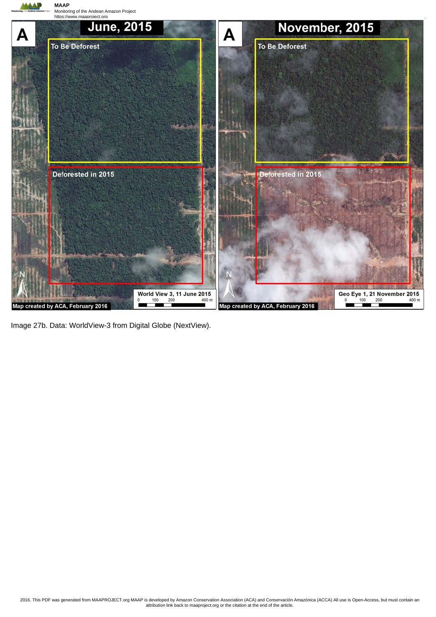

Image 27b. Data: WorldView-3 from Digital Globe (NextView).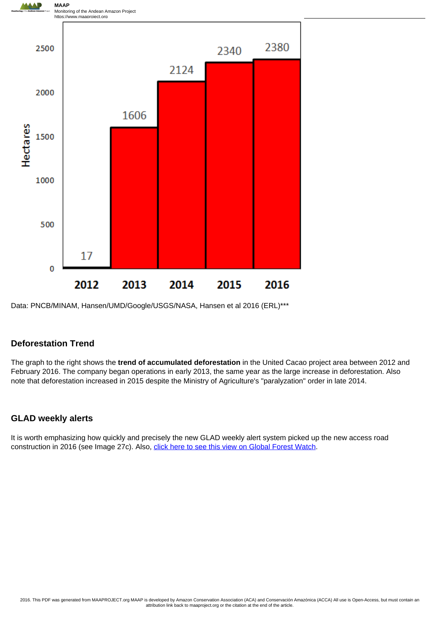

Data: PNCB/MINAM, Hansen/UMD/Google/USGS/NASA, Hansen et al 2016 (ERL)\*\*\*

## **Deforestation Trend**

The graph to the right shows the **trend of accumulated deforestation** in the United Cacao project area between 2012 and February 2016. The company began operations in early 2013, the same year as the large increase in deforestation. Also note that deforestation increased in 2015 despite the Ministry of Agriculture's "paralyzation" order in late 2014.

# **GLAD weekly alerts**

It is worth emphasizing how quickly and precisely the new GLAD weekly alert system picked up the new access road construction in 2016 (see Image 27c). Also, [click here to see this view on Global Forest Watch](http://bit.ly/1ppNRG3).